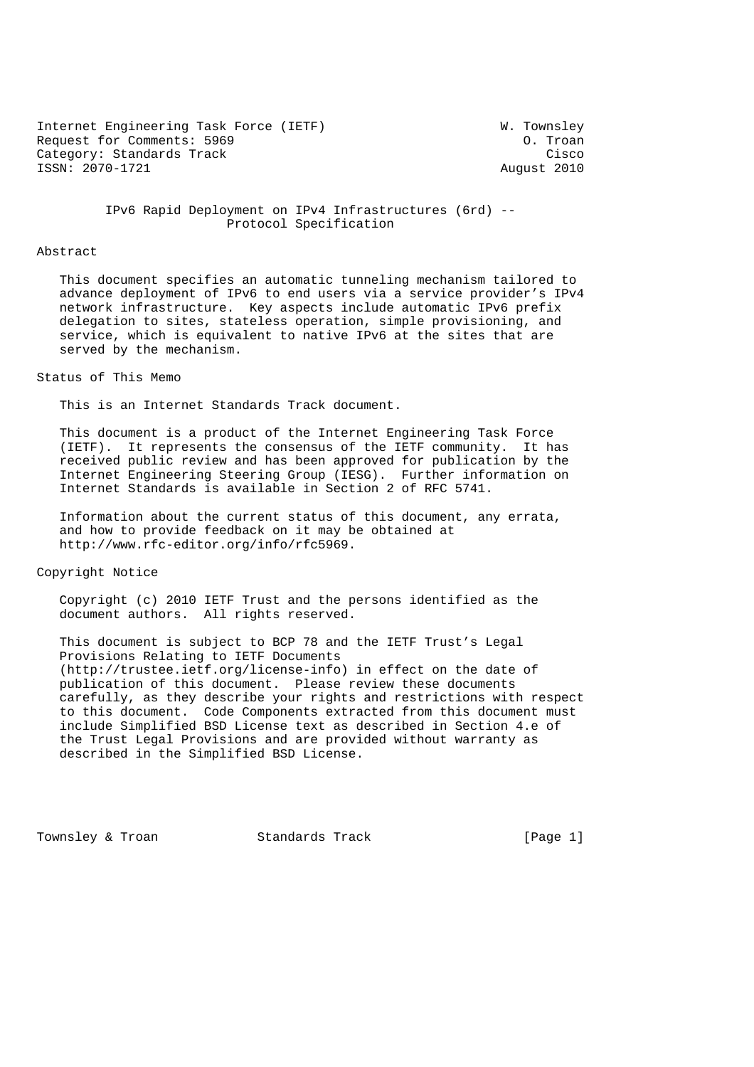Internet Engineering Task Force (IETF) W. Townsley W. Townsley<br>Request for Comments: 5969 Request for Comments: 5969 Category: Standards Track Cisco Cisco Cisco Cisco Cisco Cisco Cisco Cisco Cisco Cisco Cisco Cisco Cisco Cisco ISSN: 2070-1721 August 2010

 IPv6 Rapid Deployment on IPv4 Infrastructures (6rd) -- Protocol Specification

#### Abstract

 This document specifies an automatic tunneling mechanism tailored to advance deployment of IPv6 to end users via a service provider's IPv4 network infrastructure. Key aspects include automatic IPv6 prefix delegation to sites, stateless operation, simple provisioning, and service, which is equivalent to native IPv6 at the sites that are served by the mechanism.

#### Status of This Memo

This is an Internet Standards Track document.

 This document is a product of the Internet Engineering Task Force (IETF). It represents the consensus of the IETF community. It has received public review and has been approved for publication by the Internet Engineering Steering Group (IESG). Further information on Internet Standards is available in Section 2 of RFC 5741.

 Information about the current status of this document, any errata, and how to provide feedback on it may be obtained at http://www.rfc-editor.org/info/rfc5969.

Copyright Notice

 Copyright (c) 2010 IETF Trust and the persons identified as the document authors. All rights reserved.

 This document is subject to BCP 78 and the IETF Trust's Legal Provisions Relating to IETF Documents (http://trustee.ietf.org/license-info) in effect on the date of publication of this document. Please review these documents carefully, as they describe your rights and restrictions with respect to this document. Code Components extracted from this document must include Simplified BSD License text as described in Section 4.e of the Trust Legal Provisions and are provided without warranty as described in the Simplified BSD License.

Townsley & Troan Standards Track [Page 1]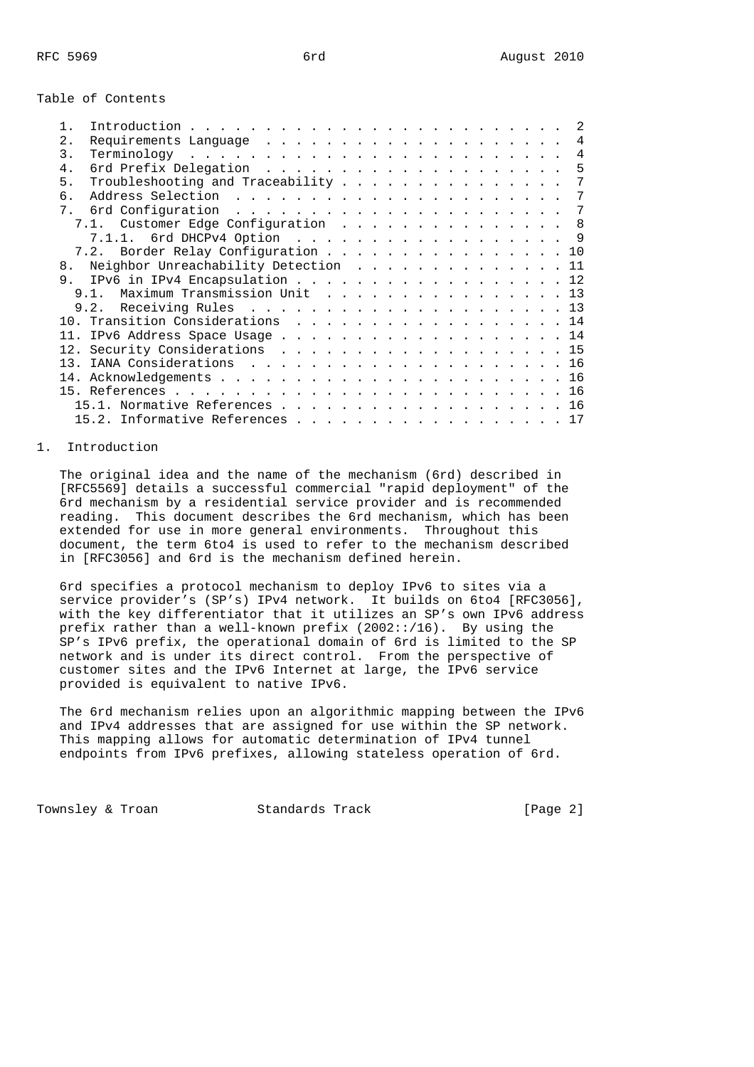### Table of Contents

|                |                                      |  |  |  |  |  |  | $\mathfrak{D}$ |
|----------------|--------------------------------------|--|--|--|--|--|--|----------------|
| 2.             |                                      |  |  |  |  |  |  | $\overline{4}$ |
| 3.             |                                      |  |  |  |  |  |  | 4              |
| 4 <sub>1</sub> |                                      |  |  |  |  |  |  | 5              |
| 5.             |                                      |  |  |  |  |  |  | 7              |
| б.             |                                      |  |  |  |  |  |  | 7              |
| 7.             |                                      |  |  |  |  |  |  | 7              |
|                | 7.1. Customer Edge Configuration 8   |  |  |  |  |  |  |                |
|                | 7.1.1. 6rd DHCPv4 Option 9           |  |  |  |  |  |  |                |
|                | 7.2. Border Relay Configuration 10   |  |  |  |  |  |  |                |
| 8.             | Neighbor Unreachability Detection 11 |  |  |  |  |  |  |                |
|                | 9. IPv6 in IPv4 Encapsulation 12     |  |  |  |  |  |  |                |
|                | 9.1. Maximum Transmission Unit 13    |  |  |  |  |  |  |                |
|                |                                      |  |  |  |  |  |  |                |
|                | 10. Transition Considerations 14     |  |  |  |  |  |  |                |
|                |                                      |  |  |  |  |  |  |                |
|                | 12. Security Considerations 15       |  |  |  |  |  |  |                |
|                |                                      |  |  |  |  |  |  |                |
|                |                                      |  |  |  |  |  |  |                |
|                |                                      |  |  |  |  |  |  |                |
|                | 15.1. Normative References 16        |  |  |  |  |  |  |                |
|                | 15.2. Informative References 17      |  |  |  |  |  |  |                |
|                |                                      |  |  |  |  |  |  |                |

### 1. Introduction

 The original idea and the name of the mechanism (6rd) described in [RFC5569] details a successful commercial "rapid deployment" of the 6rd mechanism by a residential service provider and is recommended reading. This document describes the 6rd mechanism, which has been extended for use in more general environments. Throughout this document, the term 6to4 is used to refer to the mechanism described in [RFC3056] and 6rd is the mechanism defined herein.

 6rd specifies a protocol mechanism to deploy IPv6 to sites via a service provider's (SP's) IPv4 network. It builds on 6to4 [RFC3056], with the key differentiator that it utilizes an SP's own IPv6 address prefix rather than a well-known prefix  $(2002::/16)$ . By using the SP's IPv6 prefix, the operational domain of 6rd is limited to the SP network and is under its direct control. From the perspective of customer sites and the IPv6 Internet at large, the IPv6 service provided is equivalent to native IPv6.

 The 6rd mechanism relies upon an algorithmic mapping between the IPv6 and IPv4 addresses that are assigned for use within the SP network. This mapping allows for automatic determination of IPv4 tunnel endpoints from IPv6 prefixes, allowing stateless operation of 6rd.

Townsley & Troan **Standards Track** [Page 2]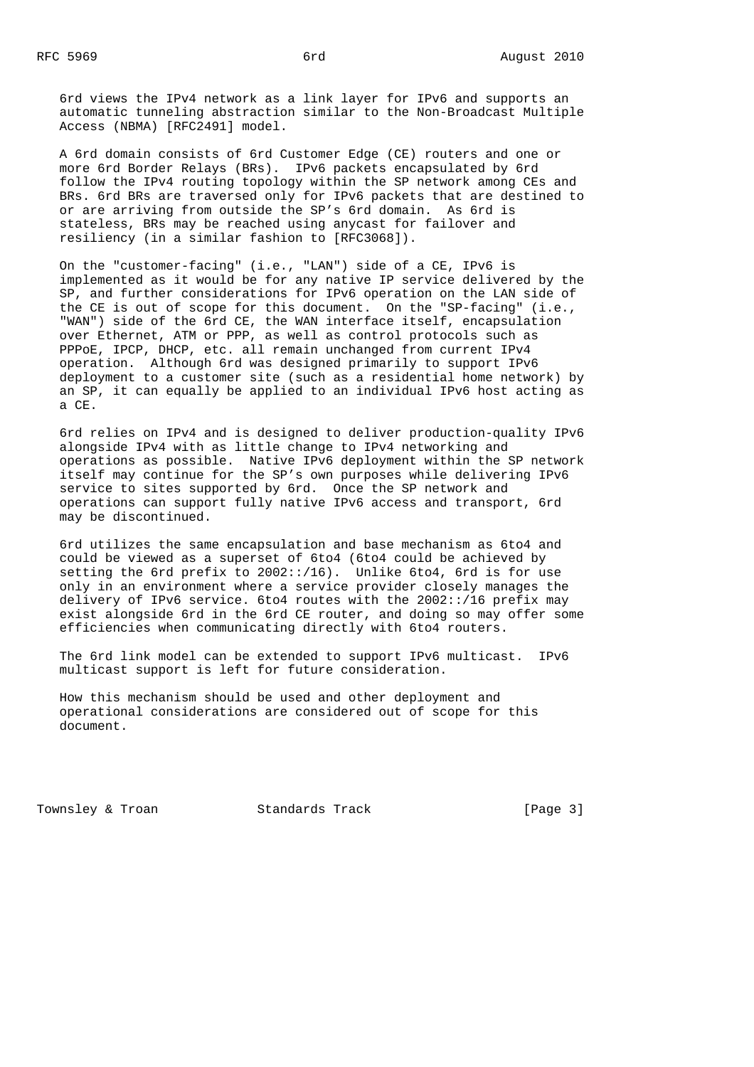6rd views the IPv4 network as a link layer for IPv6 and supports an automatic tunneling abstraction similar to the Non-Broadcast Multiple Access (NBMA) [RFC2491] model.

 A 6rd domain consists of 6rd Customer Edge (CE) routers and one or more 6rd Border Relays (BRs). IPv6 packets encapsulated by 6rd follow the IPv4 routing topology within the SP network among CEs and BRs. 6rd BRs are traversed only for IPv6 packets that are destined to or are arriving from outside the SP's 6rd domain. As 6rd is stateless, BRs may be reached using anycast for failover and resiliency (in a similar fashion to [RFC3068]).

 On the "customer-facing" (i.e., "LAN") side of a CE, IPv6 is implemented as it would be for any native IP service delivered by the SP, and further considerations for IPv6 operation on the LAN side of the CE is out of scope for this document. On the "SP-facing" (i.e., "WAN") side of the 6rd CE, the WAN interface itself, encapsulation over Ethernet, ATM or PPP, as well as control protocols such as PPPoE, IPCP, DHCP, etc. all remain unchanged from current IPv4 operation. Although 6rd was designed primarily to support IPv6 deployment to a customer site (such as a residential home network) by an SP, it can equally be applied to an individual IPv6 host acting as a CE.

 6rd relies on IPv4 and is designed to deliver production-quality IPv6 alongside IPv4 with as little change to IPv4 networking and operations as possible. Native IPv6 deployment within the SP network itself may continue for the SP's own purposes while delivering IPv6 service to sites supported by 6rd. Once the SP network and operations can support fully native IPv6 access and transport, 6rd may be discontinued.

 6rd utilizes the same encapsulation and base mechanism as 6to4 and could be viewed as a superset of 6to4 (6to4 could be achieved by setting the 6rd prefix to 2002::/16). Unlike 6to4, 6rd is for use only in an environment where a service provider closely manages the delivery of IPv6 service. 6to4 routes with the 2002::/16 prefix may exist alongside 6rd in the 6rd CE router, and doing so may offer some efficiencies when communicating directly with 6to4 routers.

 The 6rd link model can be extended to support IPv6 multicast. IPv6 multicast support is left for future consideration.

 How this mechanism should be used and other deployment and operational considerations are considered out of scope for this document.

Townsley & Troan Track Track Track [Page 3]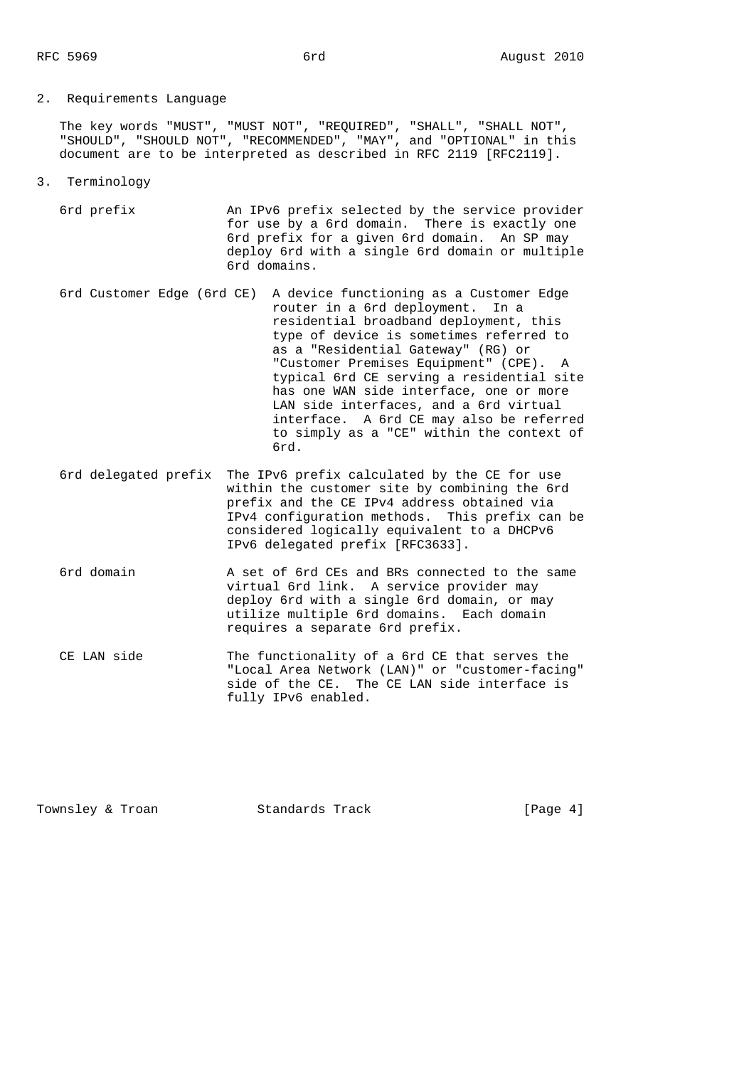## 2. Requirements Language

 The key words "MUST", "MUST NOT", "REQUIRED", "SHALL", "SHALL NOT", "SHOULD", "SHOULD NOT", "RECOMMENDED", "MAY", and "OPTIONAL" in this document are to be interpreted as described in RFC 2119 [RFC2119].

- 3. Terminology
	- 6rd prefix An IPv6 prefix selected by the service provider for use by a 6rd domain. There is exactly one 6rd prefix for a given 6rd domain. An SP may deploy 6rd with a single 6rd domain or multiple 6rd domains.
- 6rd Customer Edge (6rd CE) A device functioning as a Customer Edge router in a 6rd deployment. In a residential broadband deployment, this type of device is sometimes referred to as a "Residential Gateway" (RG) or "Customer Premises Equipment" (CPE). A typical 6rd CE serving a residential site has one WAN side interface, one or more LAN side interfaces, and a 6rd virtual interface. A 6rd CE may also be referred to simply as a "CE" within the context of 6rd.
	- 6rd delegated prefix The IPv6 prefix calculated by the CE for use within the customer site by combining the 6rd prefix and the CE IPv4 address obtained via IPv4 configuration methods. This prefix can be considered logically equivalent to a DHCPv6 IPv6 delegated prefix [RFC3633].
	- 6rd domain A set of 6rd CEs and BRs connected to the same virtual 6rd link. A service provider may deploy 6rd with a single 6rd domain, or may utilize multiple 6rd domains. Each domain requires a separate 6rd prefix.
	- CE LAN side The functionality of a 6rd CE that serves the "Local Area Network (LAN)" or "customer-facing" side of the CE. The CE LAN side interface is fully IPv6 enabled.

Townsley & Troan Track Track Track [Page 4]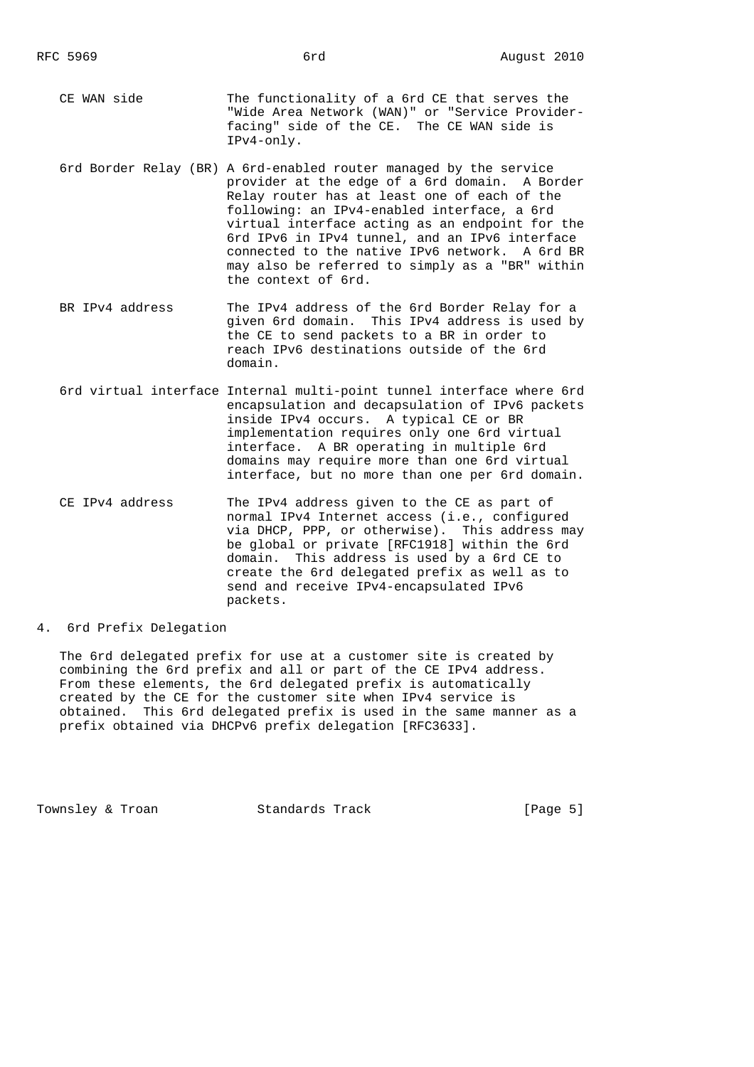- CE WAN side The functionality of a 6rd CE that serves the "Wide Area Network (WAN)" or "Service Provider facing" side of the CE. The CE WAN side is IPv4-only.
	- 6rd Border Relay (BR) A 6rd-enabled router managed by the service provider at the edge of a 6rd domain. A Border Relay router has at least one of each of the following: an IPv4-enabled interface, a 6rd virtual interface acting as an endpoint for the 6rd IPv6 in IPv4 tunnel, and an IPv6 interface connected to the native IPv6 network. A 6rd BR may also be referred to simply as a "BR" within the context of 6rd.
	- BR IPv4 address The IPv4 address of the 6rd Border Relay for a given 6rd domain. This IPv4 address is used by the CE to send packets to a BR in order to reach IPv6 destinations outside of the 6rd domain.
	- 6rd virtual interface Internal multi-point tunnel interface where 6rd encapsulation and decapsulation of IPv6 packets inside IPv4 occurs. A typical CE or BR implementation requires only one 6rd virtual interface. A BR operating in multiple 6rd domains may require more than one 6rd virtual interface, but no more than one per 6rd domain.
	- CE IPv4 address The IPv4 address given to the CE as part of normal IPv4 Internet access (i.e., configured via DHCP, PPP, or otherwise). This address may be global or private [RFC1918] within the 6rd domain. This address is used by a 6rd CE to create the 6rd delegated prefix as well as to send and receive IPv4-encapsulated IPv6 packets.
- 4. 6rd Prefix Delegation

 The 6rd delegated prefix for use at a customer site is created by combining the 6rd prefix and all or part of the CE IPv4 address. From these elements, the 6rd delegated prefix is automatically created by the CE for the customer site when IPv4 service is obtained. This 6rd delegated prefix is used in the same manner as a prefix obtained via DHCPv6 prefix delegation [RFC3633].

Townsley & Troan Track Track Track [Page 5]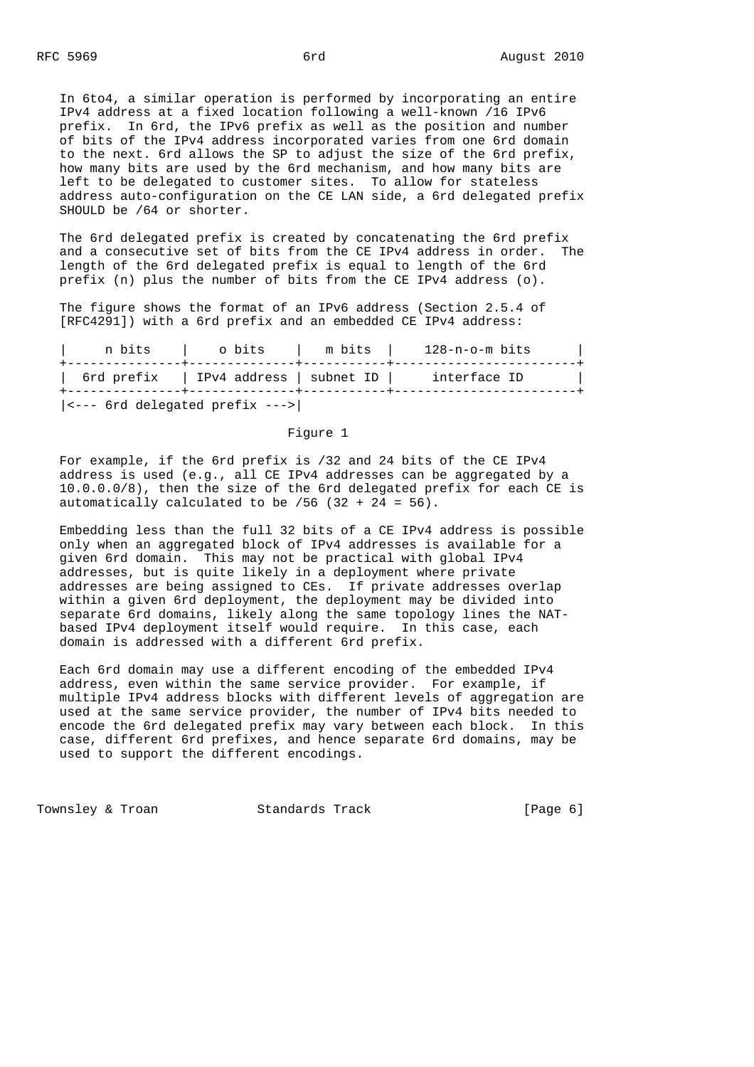In 6to4, a similar operation is performed by incorporating an entire IPv4 address at a fixed location following a well-known /16 IPv6 prefix. In 6rd, the IPv6 prefix as well as the position and number of bits of the IPv4 address incorporated varies from one 6rd domain to the next. 6rd allows the SP to adjust the size of the 6rd prefix, how many bits are used by the 6rd mechanism, and how many bits are left to be delegated to customer sites. To allow for stateless address auto-configuration on the CE LAN side, a 6rd delegated prefix SHOULD be /64 or shorter.

 The 6rd delegated prefix is created by concatenating the 6rd prefix and a consecutive set of bits from the CE IPv4 address in order. The length of the 6rd delegated prefix is equal to length of the 6rd prefix (n) plus the number of bits from the CE IPv4 address (o).

 The figure shows the format of an IPv6 address (Section 2.5.4 of [RFC4291]) with a 6rd prefix and an embedded CE IPv4 address:

| n bits                                 | o bits                                | m bits | 128-n-o-m bits |  |
|----------------------------------------|---------------------------------------|--------|----------------|--|
|                                        | 6rd prefix   IPv4 address   subnet ID |        | interface ID   |  |
| $ $ <--- $ $ ord delegated prefix ---> |                                       |        |                |  |

#### Figure 1

 For example, if the 6rd prefix is /32 and 24 bits of the CE IPv4 address is used (e.g., all CE IPv4 addresses can be aggregated by a 10.0.0.0/8), then the size of the 6rd delegated prefix for each CE is automatically calculated to be  $/56$  (32 + 24 = 56).

 Embedding less than the full 32 bits of a CE IPv4 address is possible only when an aggregated block of IPv4 addresses is available for a given 6rd domain. This may not be practical with global IPv4 addresses, but is quite likely in a deployment where private addresses are being assigned to CEs. If private addresses overlap within a given 6rd deployment, the deployment may be divided into separate 6rd domains, likely along the same topology lines the NAT based IPv4 deployment itself would require. In this case, each domain is addressed with a different 6rd prefix.

 Each 6rd domain may use a different encoding of the embedded IPv4 address, even within the same service provider. For example, if multiple IPv4 address blocks with different levels of aggregation are used at the same service provider, the number of IPv4 bits needed to encode the 6rd delegated prefix may vary between each block. In this case, different 6rd prefixes, and hence separate 6rd domains, may be used to support the different encodings.

Townsley & Troan Track Track Track [Page 6]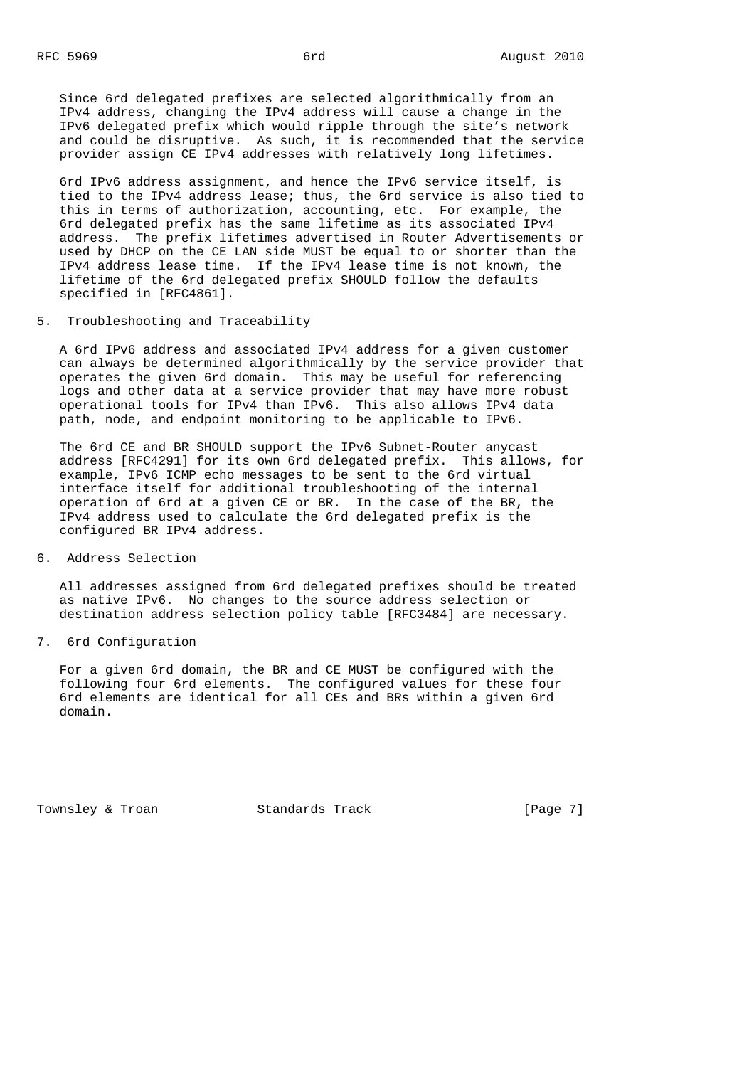Since 6rd delegated prefixes are selected algorithmically from an IPv4 address, changing the IPv4 address will cause a change in the IPv6 delegated prefix which would ripple through the site's network and could be disruptive. As such, it is recommended that the service provider assign CE IPv4 addresses with relatively long lifetimes.

 6rd IPv6 address assignment, and hence the IPv6 service itself, is tied to the IPv4 address lease; thus, the 6rd service is also tied to this in terms of authorization, accounting, etc. For example, the 6rd delegated prefix has the same lifetime as its associated IPv4 address. The prefix lifetimes advertised in Router Advertisements or used by DHCP on the CE LAN side MUST be equal to or shorter than the IPv4 address lease time. If the IPv4 lease time is not known, the lifetime of the 6rd delegated prefix SHOULD follow the defaults specified in [RFC4861].

5. Troubleshooting and Traceability

 A 6rd IPv6 address and associated IPv4 address for a given customer can always be determined algorithmically by the service provider that operates the given 6rd domain. This may be useful for referencing logs and other data at a service provider that may have more robust operational tools for IPv4 than IPv6. This also allows IPv4 data path, node, and endpoint monitoring to be applicable to IPv6.

 The 6rd CE and BR SHOULD support the IPv6 Subnet-Router anycast address [RFC4291] for its own 6rd delegated prefix. This allows, for example, IPv6 ICMP echo messages to be sent to the 6rd virtual interface itself for additional troubleshooting of the internal operation of 6rd at a given CE or BR. In the case of the BR, the IPv4 address used to calculate the 6rd delegated prefix is the configured BR IPv4 address.

6. Address Selection

 All addresses assigned from 6rd delegated prefixes should be treated as native IPv6. No changes to the source address selection or destination address selection policy table [RFC3484] are necessary.

7. 6rd Configuration

 For a given 6rd domain, the BR and CE MUST be configured with the following four 6rd elements. The configured values for these four 6rd elements are identical for all CEs and BRs within a given 6rd domain.

Townsley & Troan Track Track Track [Page 7]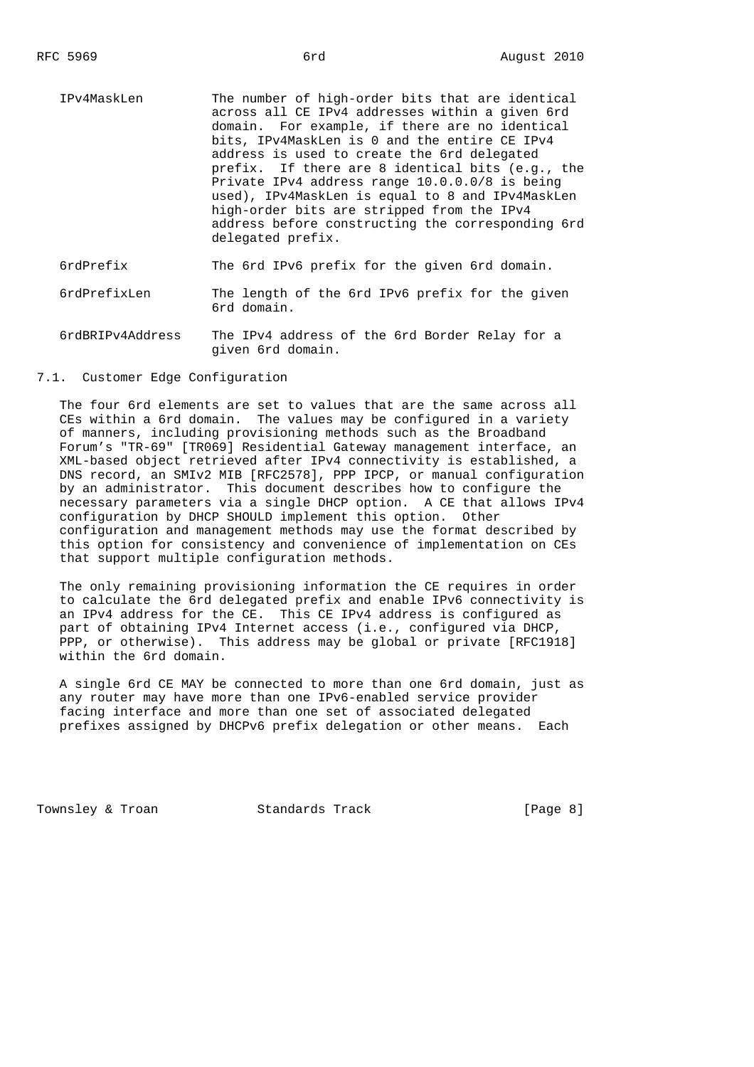IPv4MaskLen The number of high-order bits that are identical across all CE IPv4 addresses within a given 6rd domain. For example, if there are no identical bits, IPv4MaskLen is 0 and the entire CE IPv4 address is used to create the 6rd delegated prefix. If there are 8 identical bits (e.g., the Private IPv4 address range 10.0.0.0/8 is being used), IPv4MaskLen is equal to 8 and IPv4MaskLen high-order bits are stripped from the IPv4 address before constructing the corresponding 6rd delegated prefix.

6rdPrefix The 6rd IPv6 prefix for the given 6rd domain.

- 6rdPrefixLen The length of the 6rd IPv6 prefix for the given 6rd domain.
- 6rdBRIPv4Address The IPv4 address of the 6rd Border Relay for a given 6rd domain.

#### 7.1. Customer Edge Configuration

 The four 6rd elements are set to values that are the same across all CEs within a 6rd domain. The values may be configured in a variety of manners, including provisioning methods such as the Broadband Forum's "TR-69" [TR069] Residential Gateway management interface, an XML-based object retrieved after IPv4 connectivity is established, a DNS record, an SMIv2 MIB [RFC2578], PPP IPCP, or manual configuration by an administrator. This document describes how to configure the necessary parameters via a single DHCP option. A CE that allows IPv4 configuration by DHCP SHOULD implement this option. Other configuration and management methods may use the format described by this option for consistency and convenience of implementation on CEs that support multiple configuration methods.

 The only remaining provisioning information the CE requires in order to calculate the 6rd delegated prefix and enable IPv6 connectivity is an IPv4 address for the CE. This CE IPv4 address is configured as part of obtaining IPv4 Internet access (i.e., configured via DHCP, PPP, or otherwise). This address may be global or private [RFC1918] within the 6rd domain.

 A single 6rd CE MAY be connected to more than one 6rd domain, just as any router may have more than one IPv6-enabled service provider facing interface and more than one set of associated delegated prefixes assigned by DHCPv6 prefix delegation or other means. Each

Townsley & Troan Track Track Track [Page 8]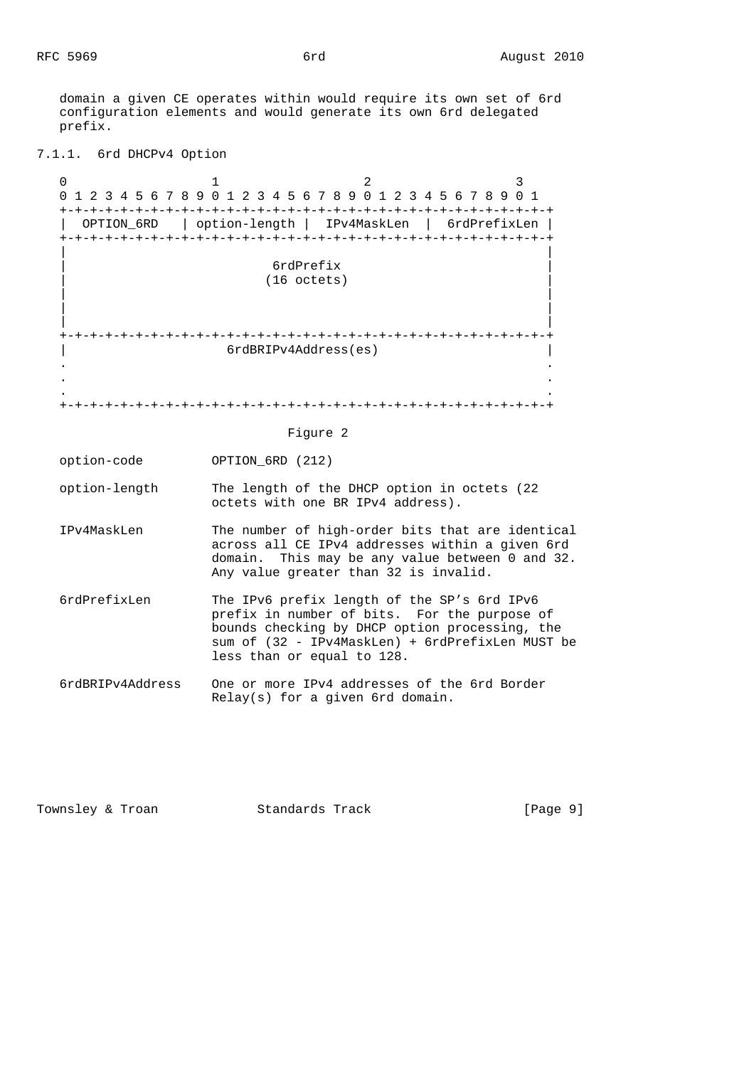domain a given CE operates within would require its own set of 6rd configuration elements and would generate its own 6rd delegated prefix.

```
7.1.1. 6rd DHCPv4 Option
```
0  $1$  2 3 0 1 2 3 4 5 6 7 8 9 0 1 2 3 4 5 6 7 8 9 0 1 2 3 4 5 6 7 8 9 0 1 +-+-+-+-+-+-+-+-+-+-+-+-+-+-+-+-+-+-+-+-+-+-+-+-+-+-+-+-+-+-+-+-+ | OPTION\_6RD | option-length | IPv4MaskLen | 6rdPrefixLen | +-+-+-+-+-+-+-+-+-+-+-+-+-+-+-+-+-+-+-+-+-+-+-+-+-+-+-+-+-+-+-+-+ | | | 6rdPrefix |  $(16$  octets) | | | | | | +-+-+-+-+-+-+-+-+-+-+-+-+-+-+-+-+-+-+-+-+-+-+-+-+-+-+-+-+-+-+-+-+ | 6rdBRIPv4Address(es) | . . . . . . +-+-+-+-+-+-+-+-+-+-+-+-+-+-+-+-+-+-+-+-+-+-+-+-+-+-+-+-+-+-+-+-+ Figure 2 option-code OPTION\_6RD (212) option-length The length of the DHCP option in octets (22 octets with one BR IPv4 address). IPv4MaskLen The number of high-order bits that are identical across all CE IPv4 addresses within a given 6rd domain. This may be any value between 0 and 32. Any value greater than 32 is invalid. 6rdPrefixLen The IPv6 prefix length of the SP's 6rd IPv6 prefix in number of bits. For the purpose of bounds checking by DHCP option processing, the sum of (32 - IPv4MaskLen) + 6rdPrefixLen MUST be less than or equal to 128. 6rdBRIPv4Address One or more IPv4 addresses of the 6rd Border Relay(s) for a given 6rd domain.

Townsley & Troan **Standards Track** [Page 9]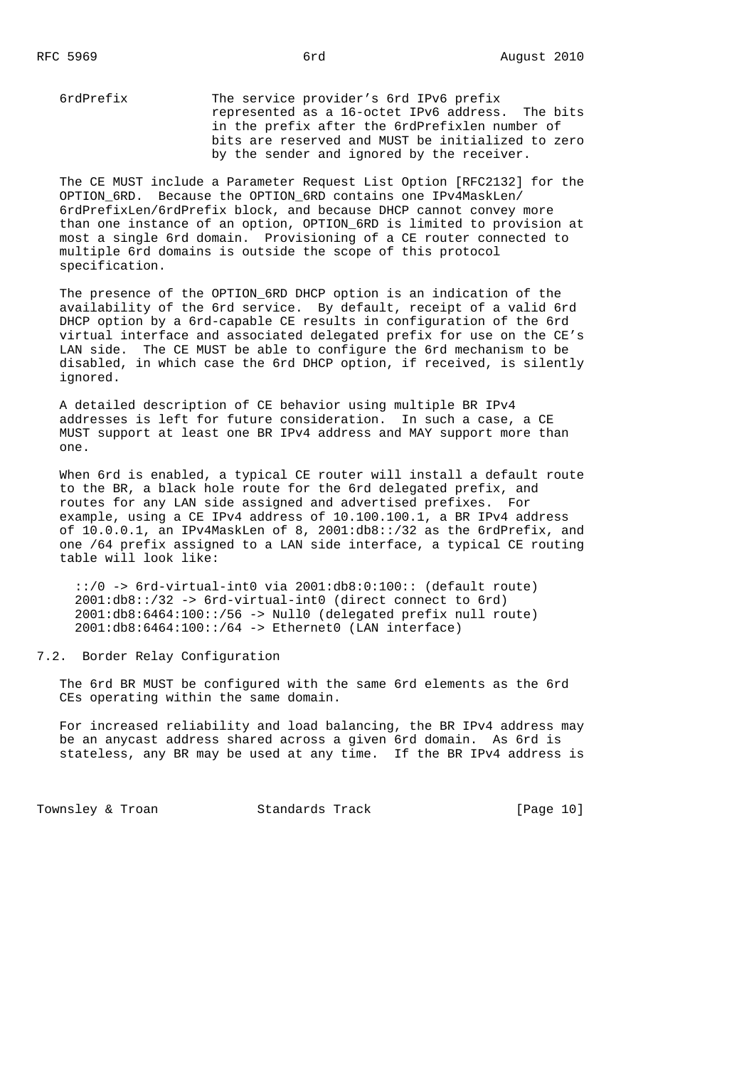6rdPrefix The service provider's 6rd IPv6 prefix represented as a 16-octet IPv6 address. The bits in the prefix after the 6rdPrefixlen number of bits are reserved and MUST be initialized to zero by the sender and ignored by the receiver.

 The CE MUST include a Parameter Request List Option [RFC2132] for the OPTION 6RD. Because the OPTION 6RD contains one IPv4MaskLen/ 6rdPrefixLen/6rdPrefix block, and because DHCP cannot convey more than one instance of an option, OPTION\_6RD is limited to provision at most a single 6rd domain. Provisioning of a CE router connected to multiple 6rd domains is outside the scope of this protocol specification.

The presence of the OPTION 6RD DHCP option is an indication of the availability of the 6rd service. By default, receipt of a valid 6rd DHCP option by a 6rd-capable CE results in configuration of the 6rd virtual interface and associated delegated prefix for use on the CE's LAN side. The CE MUST be able to configure the 6rd mechanism to be disabled, in which case the 6rd DHCP option, if received, is silently ignored.

 A detailed description of CE behavior using multiple BR IPv4 addresses is left for future consideration. In such a case, a CE MUST support at least one BR IPv4 address and MAY support more than one.

 When 6rd is enabled, a typical CE router will install a default route to the BR, a black hole route for the 6rd delegated prefix, and routes for any LAN side assigned and advertised prefixes. For example, using a CE IPv4 address of 10.100.100.1, a BR IPv4 address of 10.0.0.1, an IPv4MaskLen of 8, 2001:db8::/32 as the 6rdPrefix, and one /64 prefix assigned to a LAN side interface, a typical CE routing table will look like:

 ::/0 -> 6rd-virtual-int0 via 2001:db8:0:100:: (default route) 2001:db8::/32 -> 6rd-virtual-int0 (direct connect to 6rd) 2001:db8:6464:100::/56 -> Null0 (delegated prefix null route) 2001:db8:6464:100::/64 -> Ethernet0 (LAN interface)

7.2. Border Relay Configuration

 The 6rd BR MUST be configured with the same 6rd elements as the 6rd CEs operating within the same domain.

 For increased reliability and load balancing, the BR IPv4 address may be an anycast address shared across a given 6rd domain. As 6rd is stateless, any BR may be used at any time. If the BR IPv4 address is

Townsley & Troan Standards Track [Page 10]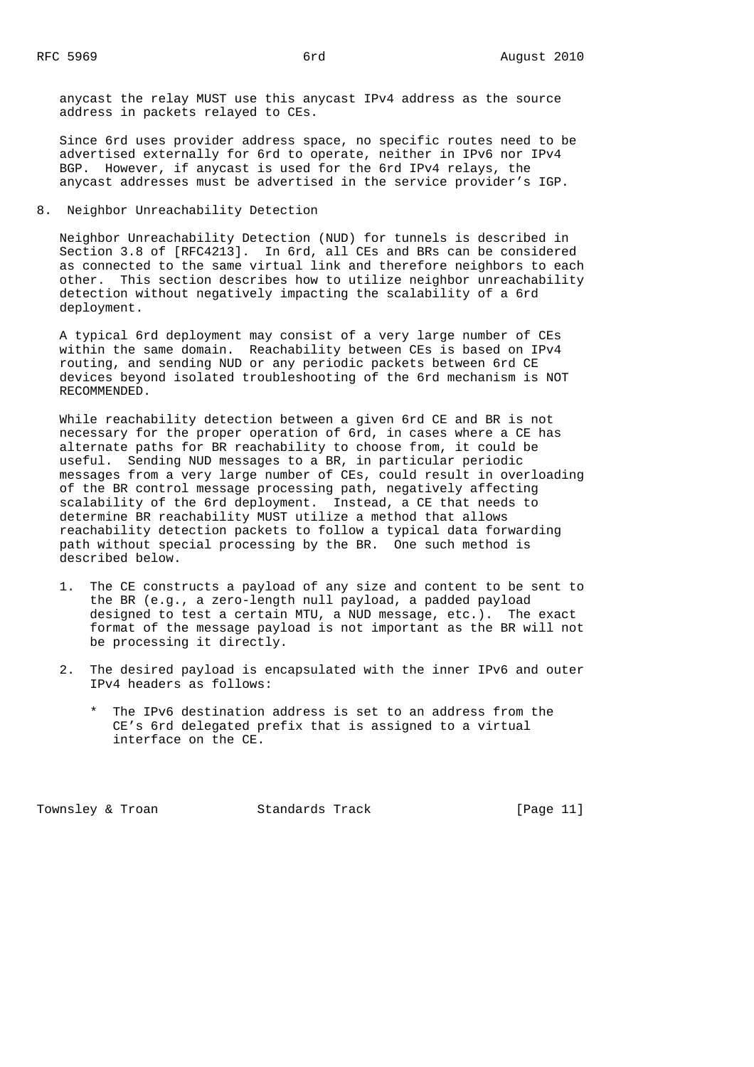anycast the relay MUST use this anycast IPv4 address as the source address in packets relayed to CEs.

 Since 6rd uses provider address space, no specific routes need to be advertised externally for 6rd to operate, neither in IPv6 nor IPv4 BGP. However, if anycast is used for the 6rd IPv4 relays, the anycast addresses must be advertised in the service provider's IGP.

8. Neighbor Unreachability Detection

 Neighbor Unreachability Detection (NUD) for tunnels is described in Section 3.8 of [RFC4213]. In 6rd, all CEs and BRs can be considered as connected to the same virtual link and therefore neighbors to each other. This section describes how to utilize neighbor unreachability detection without negatively impacting the scalability of a 6rd deployment.

 A typical 6rd deployment may consist of a very large number of CEs within the same domain. Reachability between CEs is based on IPv4 routing, and sending NUD or any periodic packets between 6rd CE devices beyond isolated troubleshooting of the 6rd mechanism is NOT RECOMMENDED.

 While reachability detection between a given 6rd CE and BR is not necessary for the proper operation of 6rd, in cases where a CE has alternate paths for BR reachability to choose from, it could be useful. Sending NUD messages to a BR, in particular periodic messages from a very large number of CEs, could result in overloading of the BR control message processing path, negatively affecting scalability of the 6rd deployment. Instead, a CE that needs to determine BR reachability MUST utilize a method that allows reachability detection packets to follow a typical data forwarding path without special processing by the BR. One such method is described below.

- 1. The CE constructs a payload of any size and content to be sent to the BR (e.g., a zero-length null payload, a padded payload designed to test a certain MTU, a NUD message, etc.). The exact format of the message payload is not important as the BR will not be processing it directly.
- 2. The desired payload is encapsulated with the inner IPv6 and outer IPv4 headers as follows:
	- \* The IPv6 destination address is set to an address from the CE's 6rd delegated prefix that is assigned to a virtual interface on the CE.

Townsley & Troan Standards Track [Page 11]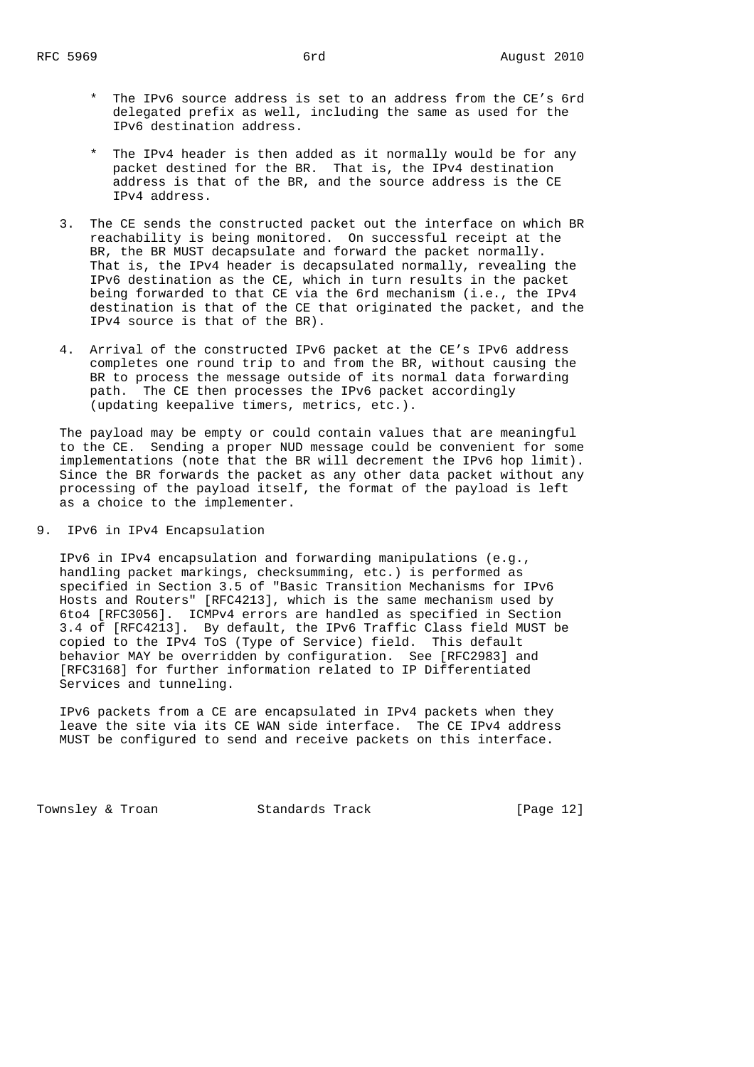- \* The IPv6 source address is set to an address from the CE's 6rd delegated prefix as well, including the same as used for the IPv6 destination address.
- \* The IPv4 header is then added as it normally would be for any packet destined for the BR. That is, the IPv4 destination address is that of the BR, and the source address is the CE IPv4 address.
- 3. The CE sends the constructed packet out the interface on which BR reachability is being monitored. On successful receipt at the BR, the BR MUST decapsulate and forward the packet normally. That is, the IPv4 header is decapsulated normally, revealing the IPv6 destination as the CE, which in turn results in the packet being forwarded to that CE via the 6rd mechanism (i.e., the IPv4 destination is that of the CE that originated the packet, and the IPv4 source is that of the BR).
- 4. Arrival of the constructed IPv6 packet at the CE's IPv6 address completes one round trip to and from the BR, without causing the BR to process the message outside of its normal data forwarding path. The CE then processes the IPv6 packet accordingly (updating keepalive timers, metrics, etc.).

 The payload may be empty or could contain values that are meaningful to the CE. Sending a proper NUD message could be convenient for some implementations (note that the BR will decrement the IPv6 hop limit). Since the BR forwards the packet as any other data packet without any processing of the payload itself, the format of the payload is left as a choice to the implementer.

9. IPv6 in IPv4 Encapsulation

 IPv6 in IPv4 encapsulation and forwarding manipulations (e.g., handling packet markings, checksumming, etc.) is performed as specified in Section 3.5 of "Basic Transition Mechanisms for IPv6 Hosts and Routers" [RFC4213], which is the same mechanism used by 6to4 [RFC3056]. ICMPv4 errors are handled as specified in Section 3.4 of [RFC4213]. By default, the IPv6 Traffic Class field MUST be copied to the IPv4 ToS (Type of Service) field. This default behavior MAY be overridden by configuration. See [RFC2983] and [RFC3168] for further information related to IP Differentiated Services and tunneling.

 IPv6 packets from a CE are encapsulated in IPv4 packets when they leave the site via its CE WAN side interface. The CE IPv4 address MUST be configured to send and receive packets on this interface.

Townsley & Troan Standards Track [Page 12]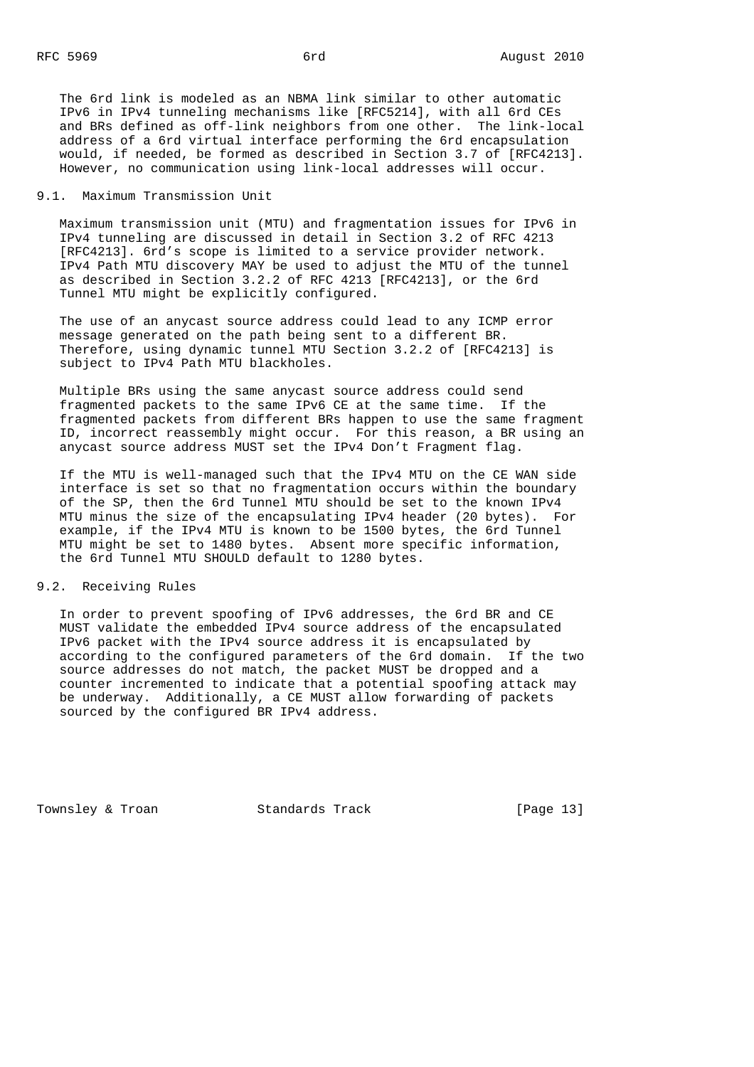The 6rd link is modeled as an NBMA link similar to other automatic IPv6 in IPv4 tunneling mechanisms like [RFC5214], with all 6rd CEs and BRs defined as off-link neighbors from one other. The link-local address of a 6rd virtual interface performing the 6rd encapsulation would, if needed, be formed as described in Section 3.7 of [RFC4213]. However, no communication using link-local addresses will occur.

#### 9.1. Maximum Transmission Unit

 Maximum transmission unit (MTU) and fragmentation issues for IPv6 in IPv4 tunneling are discussed in detail in Section 3.2 of RFC 4213 [RFC4213]. 6rd's scope is limited to a service provider network. IPv4 Path MTU discovery MAY be used to adjust the MTU of the tunnel as described in Section 3.2.2 of RFC 4213 [RFC4213], or the 6rd Tunnel MTU might be explicitly configured.

 The use of an anycast source address could lead to any ICMP error message generated on the path being sent to a different BR. Therefore, using dynamic tunnel MTU Section 3.2.2 of [RFC4213] is subject to IPv4 Path MTU blackholes.

 Multiple BRs using the same anycast source address could send fragmented packets to the same IPv6 CE at the same time. If the fragmented packets from different BRs happen to use the same fragment ID, incorrect reassembly might occur. For this reason, a BR using an anycast source address MUST set the IPv4 Don't Fragment flag.

 If the MTU is well-managed such that the IPv4 MTU on the CE WAN side interface is set so that no fragmentation occurs within the boundary of the SP, then the 6rd Tunnel MTU should be set to the known IPv4 MTU minus the size of the encapsulating IPv4 header (20 bytes). For example, if the IPv4 MTU is known to be 1500 bytes, the 6rd Tunnel MTU might be set to 1480 bytes. Absent more specific information, the 6rd Tunnel MTU SHOULD default to 1280 bytes.

### 9.2. Receiving Rules

 In order to prevent spoofing of IPv6 addresses, the 6rd BR and CE MUST validate the embedded IPv4 source address of the encapsulated IPv6 packet with the IPv4 source address it is encapsulated by according to the configured parameters of the 6rd domain. If the two source addresses do not match, the packet MUST be dropped and a counter incremented to indicate that a potential spoofing attack may be underway. Additionally, a CE MUST allow forwarding of packets sourced by the configured BR IPv4 address.

Townsley & Troan Standards Track [Page 13]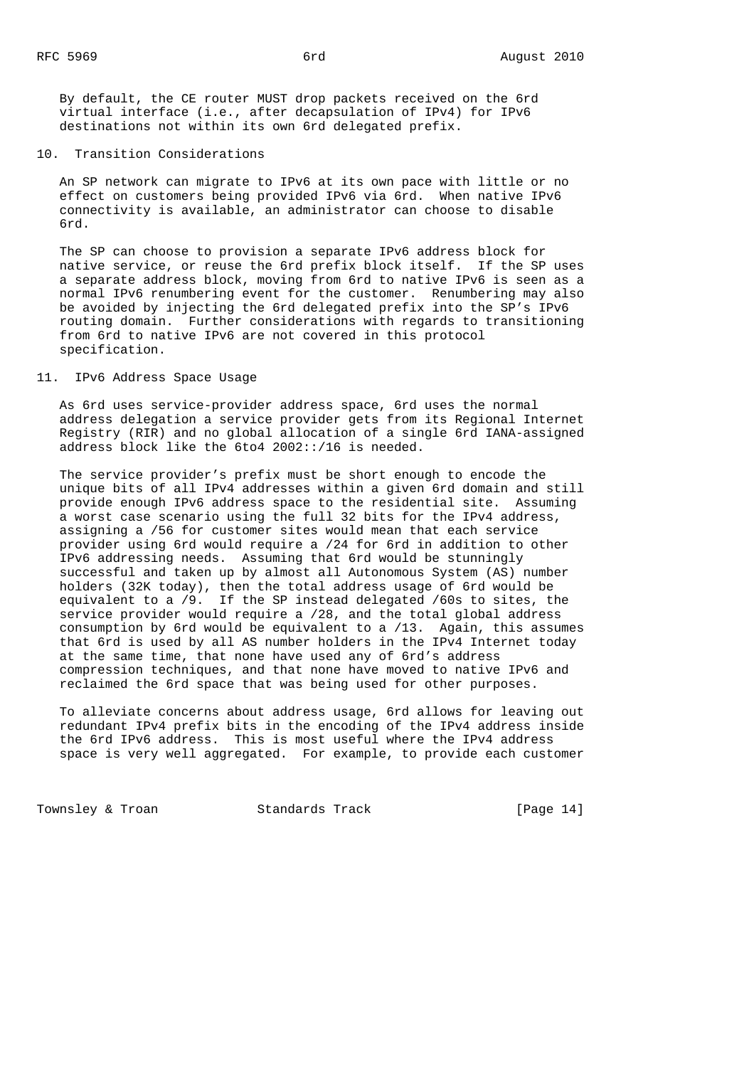By default, the CE router MUST drop packets received on the 6rd virtual interface (i.e., after decapsulation of IPv4) for IPv6 destinations not within its own 6rd delegated prefix.

### 10. Transition Considerations

 An SP network can migrate to IPv6 at its own pace with little or no effect on customers being provided IPv6 via 6rd. When native IPv6 connectivity is available, an administrator can choose to disable 6rd.

 The SP can choose to provision a separate IPv6 address block for native service, or reuse the 6rd prefix block itself. If the SP uses a separate address block, moving from 6rd to native IPv6 is seen as a normal IPv6 renumbering event for the customer. Renumbering may also be avoided by injecting the 6rd delegated prefix into the SP's IPv6 routing domain. Further considerations with regards to transitioning from 6rd to native IPv6 are not covered in this protocol specification.

#### 11. IPv6 Address Space Usage

 As 6rd uses service-provider address space, 6rd uses the normal address delegation a service provider gets from its Regional Internet Registry (RIR) and no global allocation of a single 6rd IANA-assigned address block like the 6to4 2002::/16 is needed.

 The service provider's prefix must be short enough to encode the unique bits of all IPv4 addresses within a given 6rd domain and still provide enough IPv6 address space to the residential site. Assuming a worst case scenario using the full 32 bits for the IPv4 address, assigning a /56 for customer sites would mean that each service provider using 6rd would require a /24 for 6rd in addition to other IPv6 addressing needs. Assuming that 6rd would be stunningly successful and taken up by almost all Autonomous System (AS) number holders (32K today), then the total address usage of 6rd would be equivalent to a /9. If the SP instead delegated /60s to sites, the service provider would require a /28, and the total global address consumption by 6rd would be equivalent to a /13. Again, this assumes that 6rd is used by all AS number holders in the IPv4 Internet today at the same time, that none have used any of 6rd's address compression techniques, and that none have moved to native IPv6 and reclaimed the 6rd space that was being used for other purposes.

 To alleviate concerns about address usage, 6rd allows for leaving out redundant IPv4 prefix bits in the encoding of the IPv4 address inside the 6rd IPv6 address. This is most useful where the IPv4 address space is very well aggregated. For example, to provide each customer

Townsley & Troan Track Track Track [Page 14]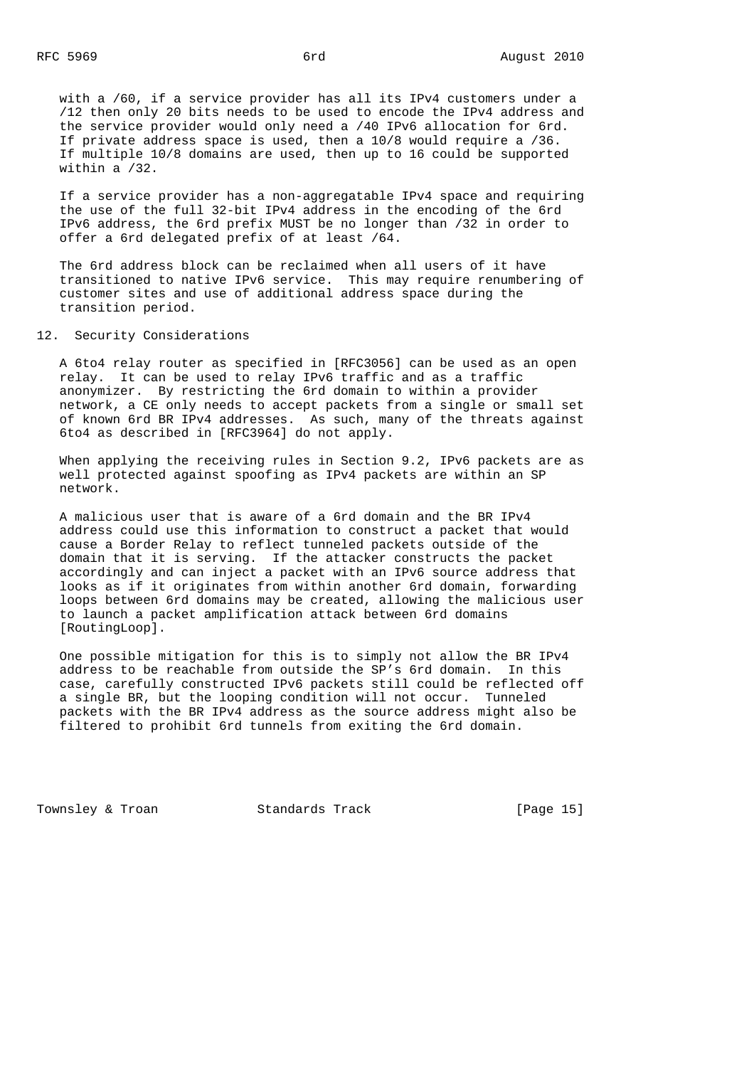with a /60, if a service provider has all its IPv4 customers under a /12 then only 20 bits needs to be used to encode the IPv4 address and the service provider would only need a /40 IPv6 allocation for 6rd. If private address space is used, then a 10/8 would require a /36. If multiple 10/8 domains are used, then up to 16 could be supported within a /32.

 If a service provider has a non-aggregatable IPv4 space and requiring the use of the full 32-bit IPv4 address in the encoding of the 6rd IPv6 address, the 6rd prefix MUST be no longer than /32 in order to offer a 6rd delegated prefix of at least /64.

 The 6rd address block can be reclaimed when all users of it have transitioned to native IPv6 service. This may require renumbering of customer sites and use of additional address space during the transition period.

### 12. Security Considerations

 A 6to4 relay router as specified in [RFC3056] can be used as an open relay. It can be used to relay IPv6 traffic and as a traffic anonymizer. By restricting the 6rd domain to within a provider network, a CE only needs to accept packets from a single or small set of known 6rd BR IPv4 addresses. As such, many of the threats against 6to4 as described in [RFC3964] do not apply.

When applying the receiving rules in Section 9.2, IPv6 packets are as well protected against spoofing as IPv4 packets are within an SP network.

 A malicious user that is aware of a 6rd domain and the BR IPv4 address could use this information to construct a packet that would cause a Border Relay to reflect tunneled packets outside of the domain that it is serving. If the attacker constructs the packet accordingly and can inject a packet with an IPv6 source address that looks as if it originates from within another 6rd domain, forwarding loops between 6rd domains may be created, allowing the malicious user to launch a packet amplification attack between 6rd domains [RoutingLoop].

 One possible mitigation for this is to simply not allow the BR IPv4 address to be reachable from outside the SP's 6rd domain. In this case, carefully constructed IPv6 packets still could be reflected off a single BR, but the looping condition will not occur. Tunneled packets with the BR IPv4 address as the source address might also be filtered to prohibit 6rd tunnels from exiting the 6rd domain.

Townsley & Troan Standards Track [Page 15]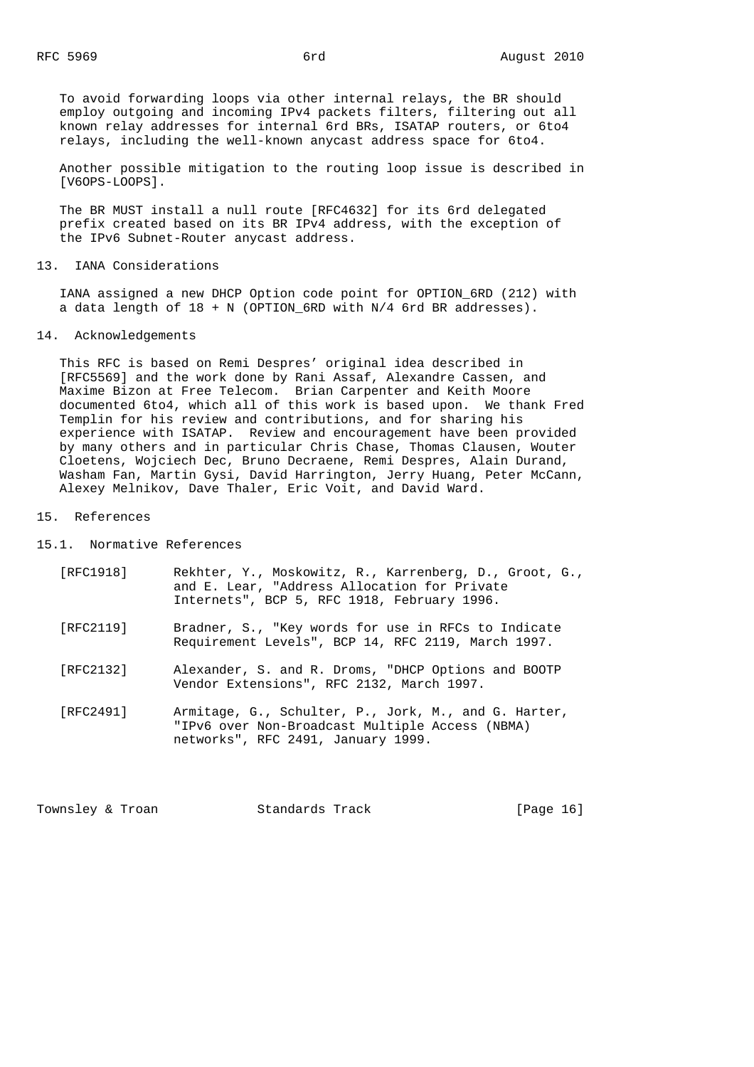To avoid forwarding loops via other internal relays, the BR should employ outgoing and incoming IPv4 packets filters, filtering out all known relay addresses for internal 6rd BRs, ISATAP routers, or 6to4 relays, including the well-known anycast address space for 6to4.

 Another possible mitigation to the routing loop issue is described in [V6OPS-LOOPS].

 The BR MUST install a null route [RFC4632] for its 6rd delegated prefix created based on its BR IPv4 address, with the exception of the IPv6 Subnet-Router anycast address.

#### 13. IANA Considerations

 IANA assigned a new DHCP Option code point for OPTION\_6RD (212) with a data length of  $18 + N$  (OPTION\_6RD with N/4 6rd BR addresses).

### 14. Acknowledgements

 This RFC is based on Remi Despres' original idea described in [RFC5569] and the work done by Rani Assaf, Alexandre Cassen, and Maxime Bizon at Free Telecom. Brian Carpenter and Keith Moore documented 6to4, which all of this work is based upon. We thank Fred Templin for his review and contributions, and for sharing his experience with ISATAP. Review and encouragement have been provided by many others and in particular Chris Chase, Thomas Clausen, Wouter Cloetens, Wojciech Dec, Bruno Decraene, Remi Despres, Alain Durand, Washam Fan, Martin Gysi, David Harrington, Jerry Huang, Peter McCann, Alexey Melnikov, Dave Thaler, Eric Voit, and David Ward.

### 15. References

15.1. Normative References

- [RFC1918] Rekhter, Y., Moskowitz, R., Karrenberg, D., Groot, G., and E. Lear, "Address Allocation for Private Internets", BCP 5, RFC 1918, February 1996.
- [RFC2119] Bradner, S., "Key words for use in RFCs to Indicate Requirement Levels", BCP 14, RFC 2119, March 1997.
- [RFC2132] Alexander, S. and R. Droms, "DHCP Options and BOOTP Vendor Extensions", RFC 2132, March 1997.
- [RFC2491] Armitage, G., Schulter, P., Jork, M., and G. Harter, "IPv6 over Non-Broadcast Multiple Access (NBMA) networks", RFC 2491, January 1999.

Townsley & Troan **Standards Track** [Page 16]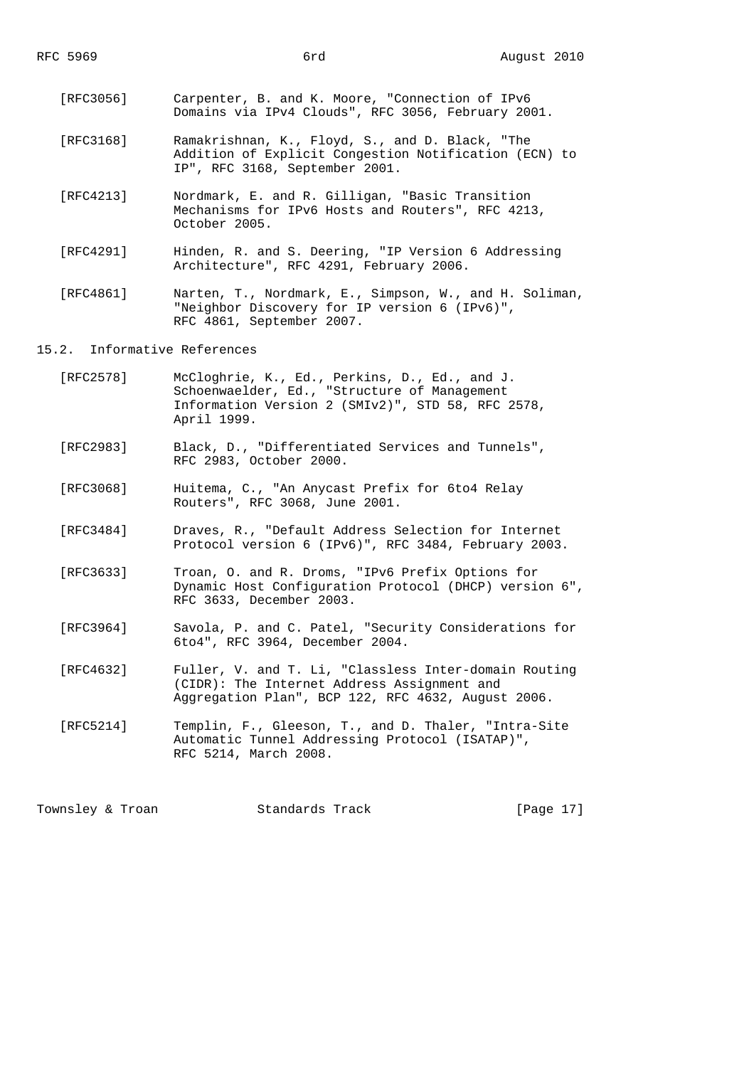- [RFC3056] Carpenter, B. and K. Moore, "Connection of IPv6 Domains via IPv4 Clouds", RFC 3056, February 2001.
- [RFC3168] Ramakrishnan, K., Floyd, S., and D. Black, "The Addition of Explicit Congestion Notification (ECN) to IP", RFC 3168, September 2001.
- [RFC4213] Nordmark, E. and R. Gilligan, "Basic Transition Mechanisms for IPv6 Hosts and Routers", RFC 4213, October 2005.
- [RFC4291] Hinden, R. and S. Deering, "IP Version 6 Addressing Architecture", RFC 4291, February 2006.
- [RFC4861] Narten, T., Nordmark, E., Simpson, W., and H. Soliman, "Neighbor Discovery for IP version 6 (IPv6)", RFC 4861, September 2007.

15.2. Informative References

- [RFC2578] McCloghrie, K., Ed., Perkins, D., Ed., and J. Schoenwaelder, Ed., "Structure of Management Information Version 2 (SMIv2)", STD 58, RFC 2578, April 1999.
- [RFC2983] Black, D., "Differentiated Services and Tunnels", RFC 2983, October 2000.
- [RFC3068] Huitema, C., "An Anycast Prefix for 6to4 Relay Routers", RFC 3068, June 2001.
- [RFC3484] Draves, R., "Default Address Selection for Internet Protocol version 6 (IPv6)", RFC 3484, February 2003.
- [RFC3633] Troan, O. and R. Droms, "IPv6 Prefix Options for Dynamic Host Configuration Protocol (DHCP) version 6", RFC 3633, December 2003.
- [RFC3964] Savola, P. and C. Patel, "Security Considerations for 6to4", RFC 3964, December 2004.
- [RFC4632] Fuller, V. and T. Li, "Classless Inter-domain Routing (CIDR): The Internet Address Assignment and Aggregation Plan", BCP 122, RFC 4632, August 2006.
- [RFC5214] Templin, F., Gleeson, T., and D. Thaler, "Intra-Site Automatic Tunnel Addressing Protocol (ISATAP)", RFC 5214, March 2008.

Townsley & Troan Standards Track [Page 17]